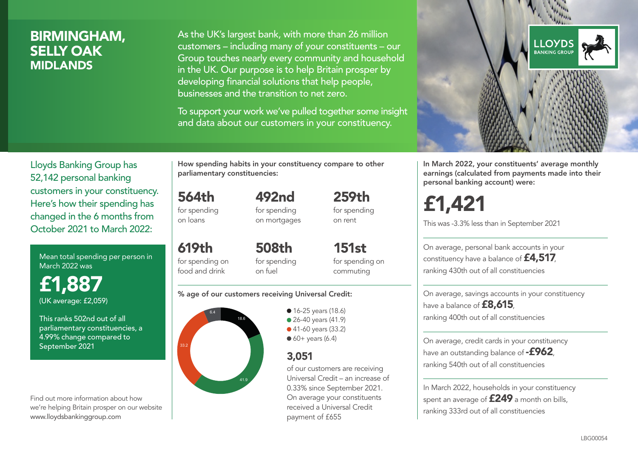## BIRMINGHAM, SELLY OAK MIDLANDS

As the UK's largest bank, with more than 26 million customers – including many of your constituents – our Group touches nearly every community and household in the UK. Our purpose is to help Britain prosper by developing financial solutions that help people, businesses and the transition to net zero.

To support your work we've pulled together some insight and data about our customers in your constituency.



Mean total spending per person in March 2022 was

£1,887 (UK average: £2,059)

This ranks 502nd out of all parliamentary constituencies, a 4.99% change compared to September 2021

Find out more information about how we're helping Britain prosper on our website www.lloydsbankinggroup.com

How spending habits in your constituency compare to other parliamentary constituencies:

492nd

564th for spending on loans

619th

for spending on mortgages 259th for spending on rent

151st

for spending on food and drink 508th for spending on fuel

for spending on commuting

#### % age of our customers receiving Universal Credit:



• 16-25 years (18.6) • 26-40 years (41.9) ● 41-60 years (33.2)  $60+$  years (6.4)

### 3,051

of our customers are receiving Universal Credit – an increase of 0.33% since September 2021. On average your constituents received a Universal Credit payment of £655



In March 2022, your constituents' average monthly earnings (calculated from payments made into their personal banking account) were:

£1,421

This was -3.3% less than in September 2021

On average, personal bank accounts in your constituency have a balance of £4,517, ranking 430th out of all constituencies

On average, savings accounts in your constituency have a balance of **£8,615**, ranking 400th out of all constituencies

On average, credit cards in your constituency have an outstanding balance of **-£962**. ranking 540th out of all constituencies

In March 2022, households in your constituency spent an average of **£249** a month on bills, ranking 333rd out of all constituencies